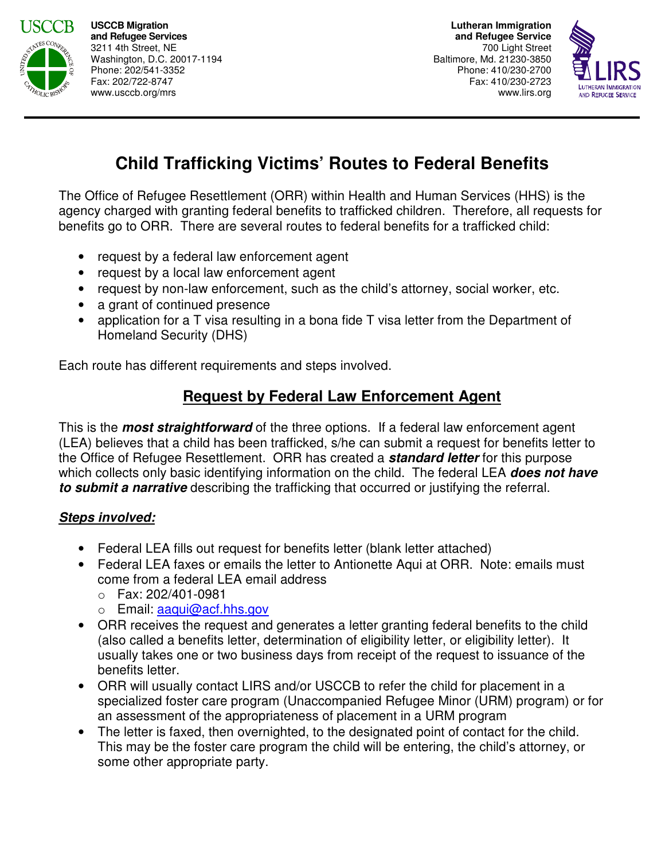

**USCCB Migration and Refugee Services**  3211 4th Street, NE Washington, D.C. 20017-1194 Phone: 202/541-3352 Fax: 202/722-8747 www.usccb.org/mrs

**Lutheran Immigration and Refugee Service** 700 Light Street Baltimore, Md. 21230-3850 Phone: 410/230-2700 Fax: 410/230-2723 www.lirs.org



# **Child Trafficking Victims' Routes to Federal Benefits**

The Office of Refugee Resettlement (ORR) within Health and Human Services (HHS) is the agency charged with granting federal benefits to trafficked children. Therefore, all requests for benefits go to ORR. There are several routes to federal benefits for a trafficked child:

- request by a federal law enforcement agent
- request by a local law enforcement agent
- request by non-law enforcement, such as the child's attorney, social worker, etc.
- a grant of continued presence
- application for a T visa resulting in a bona fide T visa letter from the Department of Homeland Security (DHS)

Each route has different requirements and steps involved.

# **Request by Federal Law Enforcement Agent**

This is the **most straightforward** of the three options. If a federal law enforcement agent (LEA) believes that a child has been trafficked, s/he can submit a request for benefits letter to the Office of Refugee Resettlement. ORR has created a **standard letter** for this purpose which collects only basic identifying information on the child. The federal LEA **does not have to submit a narrative** describing the trafficking that occurred or justifying the referral.

- Federal LEA fills out request for benefits letter (blank letter attached)
- Federal LEA faxes or emails the letter to Antionette Aqui at ORR. Note: emails must come from a federal LEA email address
	- o Fax: 202/401-0981
	- o Email: aaqui@acf.hhs.gov
- ORR receives the request and generates a letter granting federal benefits to the child (also called a benefits letter, determination of eligibility letter, or eligibility letter). It usually takes one or two business days from receipt of the request to issuance of the benefits letter.
- ORR will usually contact LIRS and/or USCCB to refer the child for placement in a specialized foster care program (Unaccompanied Refugee Minor (URM) program) or for an assessment of the appropriateness of placement in a URM program
- The letter is faxed, then overnighted, to the designated point of contact for the child. This may be the foster care program the child will be entering, the child's attorney, or some other appropriate party.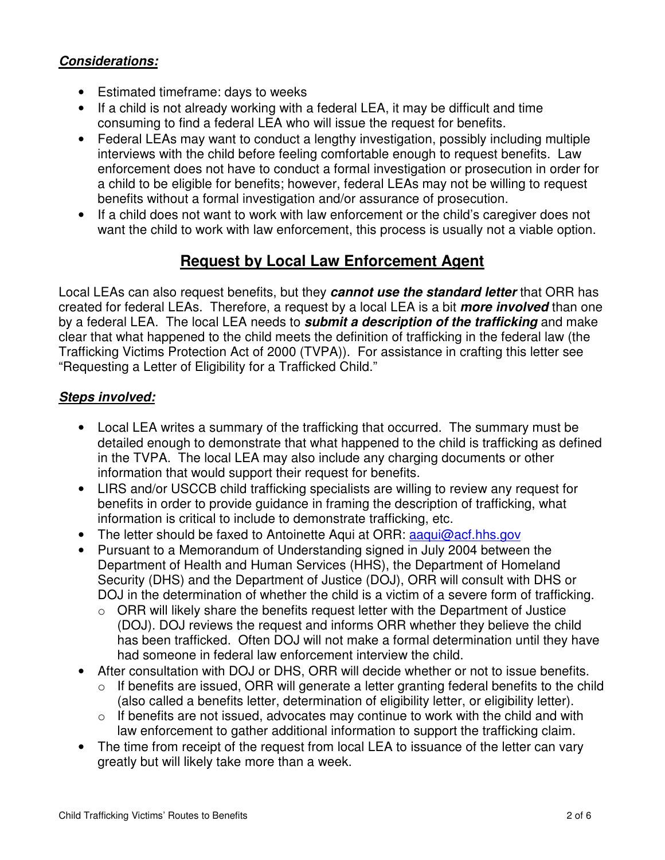- Estimated timeframe: days to weeks
- If a child is not already working with a federal LEA, it may be difficult and time consuming to find a federal LEA who will issue the request for benefits.
- Federal LEAs may want to conduct a lengthy investigation, possibly including multiple interviews with the child before feeling comfortable enough to request benefits. Law enforcement does not have to conduct a formal investigation or prosecution in order for a child to be eligible for benefits; however, federal LEAs may not be willing to request benefits without a formal investigation and/or assurance of prosecution.
- If a child does not want to work with law enforcement or the child's caregiver does not want the child to work with law enforcement, this process is usually not a viable option.

# **Request by Local Law Enforcement Agent**

Local LEAs can also request benefits, but they **cannot use the standard letter** that ORR has created for federal LEAs. Therefore, a request by a local LEA is a bit **more involved** than one by a federal LEA. The local LEA needs to **submit a description of the trafficking** and make clear that what happened to the child meets the definition of trafficking in the federal law (the Trafficking Victims Protection Act of 2000 (TVPA)). For assistance in crafting this letter see "Requesting a Letter of Eligibility for a Trafficked Child."

- Local LEA writes a summary of the trafficking that occurred. The summary must be detailed enough to demonstrate that what happened to the child is trafficking as defined in the TVPA. The local LEA may also include any charging documents or other information that would support their request for benefits.
- LIRS and/or USCCB child trafficking specialists are willing to review any request for benefits in order to provide guidance in framing the description of trafficking, what information is critical to include to demonstrate trafficking, etc.
- The letter should be faxed to Antoinette Aqui at ORR: a aqui@acf.hhs.gov
- Pursuant to a Memorandum of Understanding signed in July 2004 between the Department of Health and Human Services (HHS), the Department of Homeland Security (DHS) and the Department of Justice (DOJ), ORR will consult with DHS or DOJ in the determination of whether the child is a victim of a severe form of trafficking.
	- $\circ$  ORR will likely share the benefits request letter with the Department of Justice (DOJ). DOJ reviews the request and informs ORR whether they believe the child has been trafficked. Often DOJ will not make a formal determination until they have had someone in federal law enforcement interview the child.
- After consultation with DOJ or DHS, ORR will decide whether or not to issue benefits.
	- $\circ$  If benefits are issued, ORR will generate a letter granting federal benefits to the child (also called a benefits letter, determination of eligibility letter, or eligibility letter).
	- $\circ$  If benefits are not issued, advocates may continue to work with the child and with law enforcement to gather additional information to support the trafficking claim.
- The time from receipt of the request from local LEA to issuance of the letter can vary greatly but will likely take more than a week.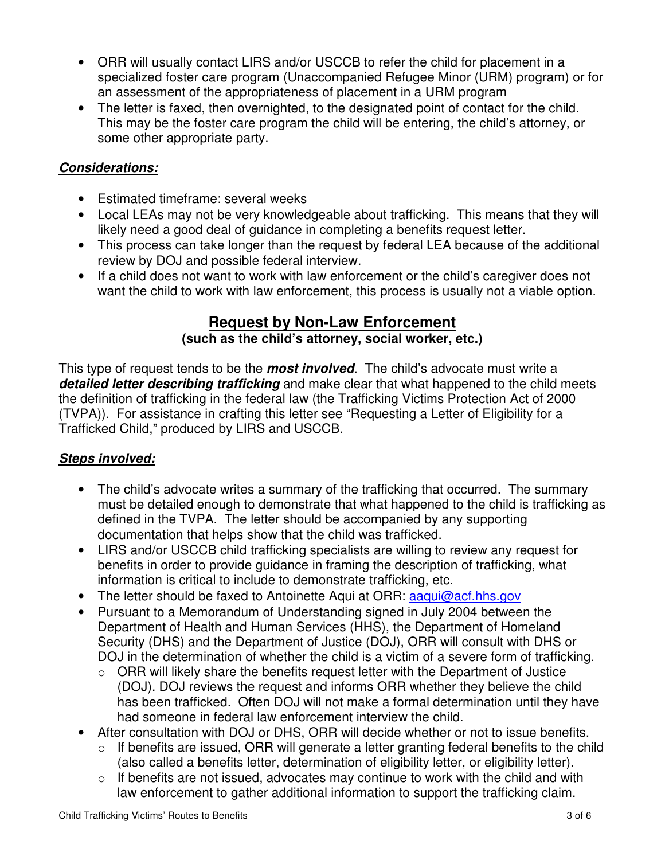- ORR will usually contact LIRS and/or USCCB to refer the child for placement in a specialized foster care program (Unaccompanied Refugee Minor (URM) program) or for an assessment of the appropriateness of placement in a URM program
- The letter is faxed, then overnighted, to the designated point of contact for the child. This may be the foster care program the child will be entering, the child's attorney, or some other appropriate party.

- Estimated timeframe: several weeks
- Local LEAs may not be very knowledgeable about trafficking. This means that they will likely need a good deal of guidance in completing a benefits request letter.
- This process can take longer than the request by federal LEA because of the additional review by DOJ and possible federal interview.
- If a child does not want to work with law enforcement or the child's caregiver does not want the child to work with law enforcement, this process is usually not a viable option.

#### **Request by Non-Law Enforcement (such as the child's attorney, social worker, etc.)**

This type of request tends to be the **most involved**. The child's advocate must write a **detailed letter describing trafficking** and make clear that what happened to the child meets the definition of trafficking in the federal law (the Trafficking Victims Protection Act of 2000 (TVPA)). For assistance in crafting this letter see "Requesting a Letter of Eligibility for a Trafficked Child," produced by LIRS and USCCB.

- The child's advocate writes a summary of the trafficking that occurred. The summary must be detailed enough to demonstrate that what happened to the child is trafficking as defined in the TVPA. The letter should be accompanied by any supporting documentation that helps show that the child was trafficked.
- LIRS and/or USCCB child trafficking specialists are willing to review any request for benefits in order to provide guidance in framing the description of trafficking, what information is critical to include to demonstrate trafficking, etc.
- The letter should be faxed to Antoinette Aqui at ORR:  $a$ aqui@acf.hhs.gov
- Pursuant to a Memorandum of Understanding signed in July 2004 between the Department of Health and Human Services (HHS), the Department of Homeland Security (DHS) and the Department of Justice (DOJ), ORR will consult with DHS or DOJ in the determination of whether the child is a victim of a severe form of trafficking.
	- $\circ$  ORR will likely share the benefits request letter with the Department of Justice (DOJ). DOJ reviews the request and informs ORR whether they believe the child has been trafficked. Often DOJ will not make a formal determination until they have had someone in federal law enforcement interview the child.
- After consultation with DOJ or DHS, ORR will decide whether or not to issue benefits.
	- $\circ$  If benefits are issued, ORR will generate a letter granting federal benefits to the child (also called a benefits letter, determination of eligibility letter, or eligibility letter).
	- $\circ$  If benefits are not issued, advocates may continue to work with the child and with law enforcement to gather additional information to support the trafficking claim.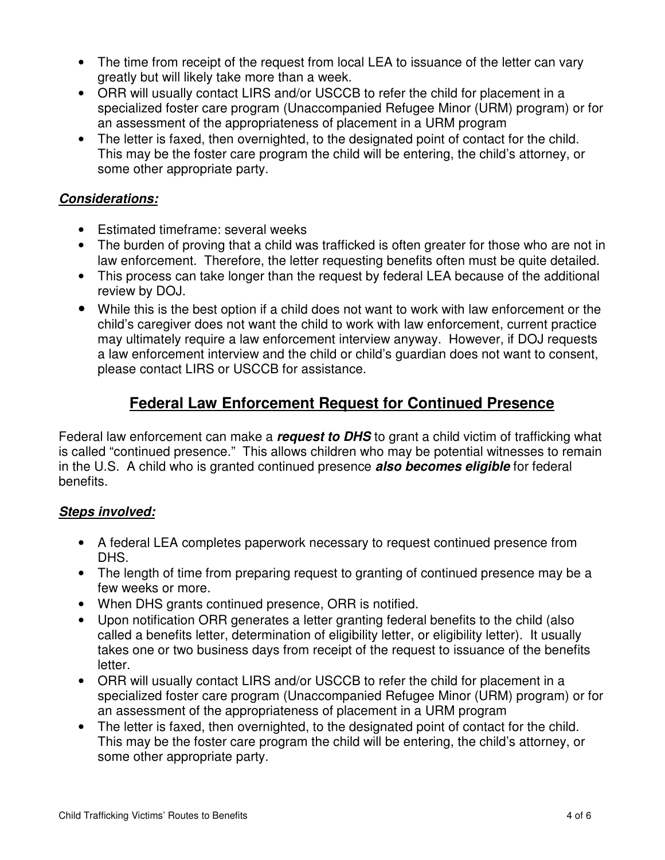- The time from receipt of the request from local LEA to issuance of the letter can vary greatly but will likely take more than a week.
- ORR will usually contact LIRS and/or USCCB to refer the child for placement in a specialized foster care program (Unaccompanied Refugee Minor (URM) program) or for an assessment of the appropriateness of placement in a URM program
- The letter is faxed, then overnighted, to the designated point of contact for the child. This may be the foster care program the child will be entering, the child's attorney, or some other appropriate party.

- Estimated timeframe: several weeks
- The burden of proving that a child was trafficked is often greater for those who are not in law enforcement. Therefore, the letter requesting benefits often must be quite detailed.
- This process can take longer than the request by federal LEA because of the additional review by DOJ.
- While this is the best option if a child does not want to work with law enforcement or the child's caregiver does not want the child to work with law enforcement, current practice may ultimately require a law enforcement interview anyway. However, if DOJ requests a law enforcement interview and the child or child's guardian does not want to consent, please contact LIRS or USCCB for assistance.

# **Federal Law Enforcement Request for Continued Presence**

Federal law enforcement can make a **request to DHS** to grant a child victim of trafficking what is called "continued presence." This allows children who may be potential witnesses to remain in the U.S. A child who is granted continued presence **also becomes eligible** for federal benefits.

- A federal LEA completes paperwork necessary to request continued presence from DHS.
- The length of time from preparing request to granting of continued presence may be a few weeks or more.
- When DHS grants continued presence, ORR is notified.
- Upon notification ORR generates a letter granting federal benefits to the child (also called a benefits letter, determination of eligibility letter, or eligibility letter). It usually takes one or two business days from receipt of the request to issuance of the benefits letter.
- ORR will usually contact LIRS and/or USCCB to refer the child for placement in a specialized foster care program (Unaccompanied Refugee Minor (URM) program) or for an assessment of the appropriateness of placement in a URM program
- The letter is faxed, then overnighted, to the designated point of contact for the child. This may be the foster care program the child will be entering, the child's attorney, or some other appropriate party.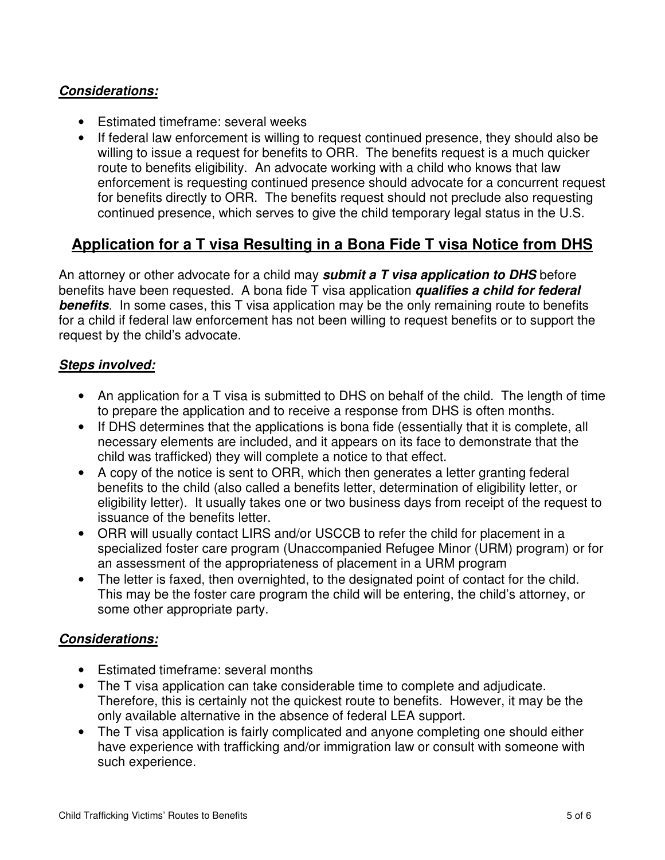- Estimated timeframe: several weeks
- If federal law enforcement is willing to request continued presence, they should also be willing to issue a request for benefits to ORR. The benefits request is a much quicker route to benefits eligibility. An advocate working with a child who knows that law enforcement is requesting continued presence should advocate for a concurrent request for benefits directly to ORR. The benefits request should not preclude also requesting continued presence, which serves to give the child temporary legal status in the U.S.

# **Application for a T visa Resulting in a Bona Fide T visa Notice from DHS**

An attorney or other advocate for a child may **submit a T visa application to DHS** before benefits have been requested. A bona fide T visa application **qualifies a child for federal benefits**. In some cases, this T visa application may be the only remaining route to benefits for a child if federal law enforcement has not been willing to request benefits or to support the request by the child's advocate.

#### **Steps involved:**

- An application for a T visa is submitted to DHS on behalf of the child. The length of time to prepare the application and to receive a response from DHS is often months.
- If DHS determines that the applications is bona fide (essentially that it is complete, all necessary elements are included, and it appears on its face to demonstrate that the child was trafficked) they will complete a notice to that effect.
- A copy of the notice is sent to ORR, which then generates a letter granting federal benefits to the child (also called a benefits letter, determination of eligibility letter, or eligibility letter). It usually takes one or two business days from receipt of the request to issuance of the benefits letter.
- ORR will usually contact LIRS and/or USCCB to refer the child for placement in a specialized foster care program (Unaccompanied Refugee Minor (URM) program) or for an assessment of the appropriateness of placement in a URM program
- The letter is faxed, then overnighted, to the designated point of contact for the child. This may be the foster care program the child will be entering, the child's attorney, or some other appropriate party.

### **Considerations:**

- Estimated timeframe: several months
- The T visa application can take considerable time to complete and adjudicate. Therefore, this is certainly not the quickest route to benefits. However, it may be the only available alternative in the absence of federal LEA support.
- The T visa application is fairly complicated and anyone completing one should either have experience with trafficking and/or immigration law or consult with someone with such experience.